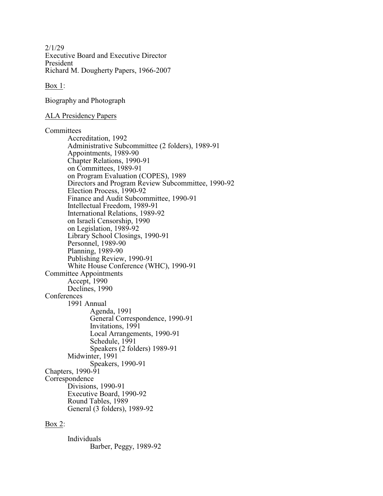2/1/29 Executive Board and Executive Director President Richard M. Dougherty Papers, 1966-2007

Box 1:

Biography and Photograph

## ALA Presidency Papers

Committees

Accreditation, 1992 Administrative Subcommittee (2 folders), 1989-91 Appointments, 1989-90 Chapter Relations, 1990-91 on Committees, 1989-91 on Program Evaluation (COPES), 1989 Directors and Program Review Subcommittee, 1990-92 Election Process, 1990-92 Finance and Audit Subcommittee, 1990-91 Intellectual Freedom, 1989-91 International Relations, 1989-92 on Israeli Censorship, 1990 on Legislation, 1989-92 Library School Closings, 1990-91 Personnel, 1989-90 Planning, 1989-90 Publishing Review, 1990-91 White House Conference (WHC), 1990-91 Committee Appointments Accept, 1990 Declines, 1990 **Conferences** 1991 Annual Agenda, 1991 General Correspondence, 1990-91 Invitations, 1991 Local Arrangements, 1990-91 Schedule, 1991 Speakers (2 folders) 1989-91 Midwinter, 1991 Speakers, 1990-91 Chapters, 1990-91 Correspondence Divisions, 1990-91 Executive Board, 1990-92 Round Tables, 1989 General (3 folders), 1989-92

## Box 2:

Individuals Barber, Peggy, 1989-92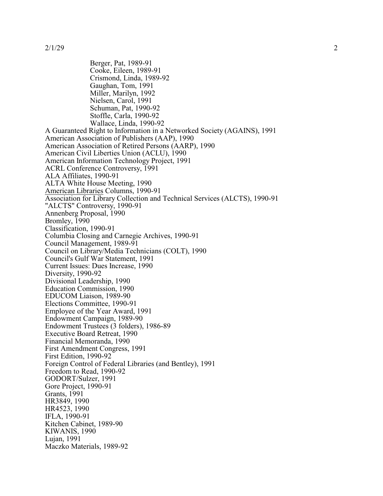Berger, Pat, 1989-91 Cooke, Eileen, 1989-91 Crismond, Linda, 1989-92 Gaughan, Tom, 1991 Miller, Marilyn, 1992 Nielsen, Carol, 1991 Schuman, Pat, 1990-92 Stoffle, Carla, 1990-92 Wallace, Linda, 1990-92 A Guaranteed Right to Information in a Networked Society (AGAINS), 1991 American Association of Publishers (AAP), 1990 American Association of Retired Persons (AARP), 1990 American Civil Liberties Union (ACLU), 1990 American Information Technology Project, 1991 ACRL Conference Controversy, 1991 ALA Affiliates, 1990-91 ALTA White House Meeting, 1990 American Libraries Columns, 1990-91 Association for Library Collection and Technical Services (ALCTS), 1990-91 "ALCTS" Controversy, 1990-91 Annenberg Proposal, 1990 Bromley, 1990 Classification, 1990-91 Columbia Closing and Carnegie Archives, 1990-91 Council Management, 1989-91 Council on Library/Media Technicians (COLT), 1990 Council's Gulf War Statement, 1991 Current Issues: Dues Increase, 1990 Diversity, 1990-92 Divisional Leadership, 1990 Education Commission, 1990 EDUCOM Liaison, 1989-90 Elections Committee, 1990-91 Employee of the Year Award, 1991 Endowment Campaign, 1989-90 Endowment Trustees (3 folders), 1986-89 Executive Board Retreat, 1990 Financial Memoranda, 1990 First Amendment Congress, 1991 First Edition, 1990-92 Foreign Control of Federal Libraries (and Bentley), 1991 Freedom to Read, 1990-92 GODORT/Sulzer, 1991 Gore Project, 1990-91 Grants, 1991 HR3849, 1990 HR4523, 1990 IFLA, 1990-91 Kitchen Cabinet, 1989-90 KIWANIS, 1990 Lujan, 1991 Maczko Materials, 1989-92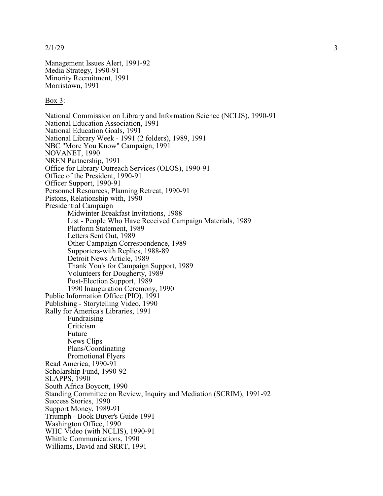2/1/29

Management Issues Alert, 1991-92 Media Strateg y, 1990-91 Minority Recruitment, 1991 Morristown, 1991

#### Box 3:

National Commission on Library and Information Science (NCL IS), 1990-91 National Education Association, 1991 National Education Goals, 1991 National Library Week - 1991 (2 folders), 1989, 1991 NBC "More You Know" Campaign, 1991 NOVANET, 1990 NREN Partnership, 1991 Office for Library Outreach Services (OLOS), 1990-91 Office of the President, 1990-91 Officer Support, 1990-91 Personnel Resources, Planning Retreat, 1990-91 Pistons, Relationship with, 1990 Presidential Campaig n Midwinter Breakfast Invitations, 1988 List - People Who Have Received Campaign Materials, 1989 Platform Statement, 1989 Letters Sent Out, 1989 Other Campaign Correspondence, 1989 Supporters-with Replies, 1988-89 Detroit News Article, 1989 Thank You's for Campaig n Support, 1989 Volunteers for Dougherty , 1989 Post-Election Support, 1989 1990 Inauguration Ceremony, 1990 Public Information Office (PIO), 1991 Publishing - Storytelling Video, 1990 Rally for America's Libraries, 1991 Fundraising Criticism Future News Clips Plans/Coordinating Promotional Flyers Read America, 1990-91 Scholarship Fund, 1990-92 SLAPPS, 1990 South Africa Boycott, 1990 Standing Committee on Review, Inquiry and Mediation (SCRIM), 1991-92 Success Stories, 1990 Support Money, 1989-91 Triumph - Book Buyer's Guide 1991 Washington Office, 1990 WHC Video (with NCLIS), 1990-91 Whittle Communications, 1990 Williams, David and SRRT, 1991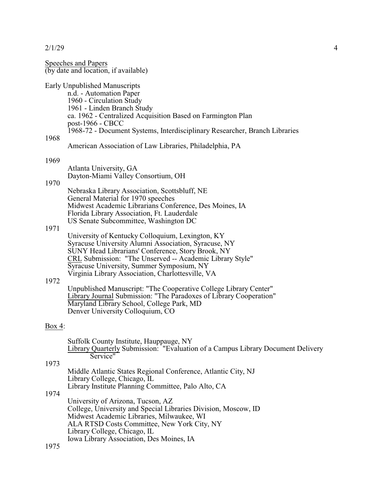Speeches and Papers (by date and location, if available) Early Unpublished Manuscripts n.d. - Automation Paper 1960 - Circulation Study 1961 - Linden Branch Study ca. 1962 - Centralized Acquisition Based on Farmington Plan post-1966 - CBCC 1968-72 - Document Systems, Interdisciplinary Researcher, Branch Libraries 1968 American Association of Law Libraries, Philadelphia, PA 1969 Atlanta University, GA Dayton-Miami Valley Consortium, OH 1970 Nebraska Library Association, Scottsbluff, NE General Material for 1970 speeches Midwest Academic Librarians Conference, Des Moines, IA Florida Library Association, Ft. Lauderdale US Senate Subcommittee, Washington DC 1971 University of Kentucky Colloquium, Lexington, KY Syracuse University Alumni Association, Syracuse, NY SUNY Head Librarians' Conference, Story Brook, NY CRL Submission: "The Unserved -- Academic Library Style" Syracuse University, Summer Symposium, NY Virginia Library Association, Charlottesville, VA 1972 Unpublished Manuscript: "The Cooperative College Library Center" Library Journal Submission: "The Paradoxes of Library Cooperation" Maryland Library School, College Park, MD Denver University Colloquium, CO Box 4: Suffolk County Institute, Hauppauge, NY Library Quarterly Submission: "Evaluation of a Campus Library Document Delivery Service" 1973 Middle Atlantic States Regional Conference, Atlantic City, NJ Library College, Chicago, IL Library Institute Planning Committee, Palo Alto, CA 1974 University of Arizona, Tucson, AZ College, University and Special Libraries Division, Moscow, ID Midwest Academic Libraries, Milwaukee, WI ALA RTSD Costs Committee, New York City, NY Library College, Chicago, IL Iowa Library Association, Des Moines, IA 1975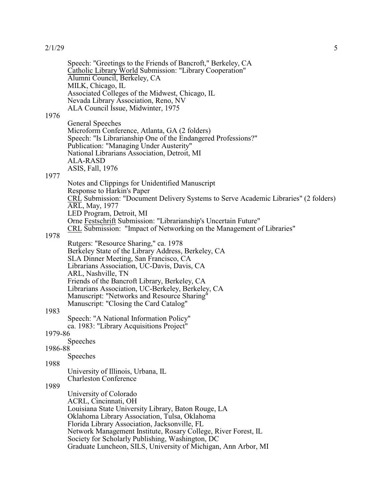Speech: "Greetings to the Friends of Bancroft," Berkeley, CA Catholic Library World Submission: "Library Cooperation" Alumni Council, Berkeley, CA MILK, Chicago, IL Associated Colleges of the Midwest, Chicago, IL Nevada Library Association, Reno, NV ALA Council Issue, Midwinter, 1975

1976

General Speeches Microform Conference, Atlanta, GA (2 folders) Speech: "Is Librarianship One of the Endangered Professions?" Publication: "Managing Under Austerity" National Librarians Association, Detroit, MI ALA-RASD ASIS, Fall, 1976

#### 1977

Notes and Clippings for Unidentified Manuscript Response to Harkin's Paper CRL Submission: "Document Delivery Systems to Serve Academic Libraries" (2 folders) ARL, May, 1977 LED Program, Detroit, MI Orne Festschrift Submission: "Librarianship's Uncertain Future" CRL Submission: "Impact of Networking on the Management of Libraries"

#### 1978

Rutgers: "Resource Sharing," ca. 1978 Berkeley State of the Library Address, Berkeley, CA SLA Dinner Meeting, San Francisco, CA Librarians Association, UC-Davis, Davis, CA ARL, Nashville, TN Friends of the Bancroft Library, Berkeley, CA Librarians Association, UC-Berkeley, Berkeley, CA Manuscript: "Networks and Resource Sharing" Manuscript: "Closing the Card Catalog"

#### 1983

Speech: "A National Information Policy" ca. 1983: "Library Acquisitions Project"

## 1979-86

Speeches

1986-88 Speeches

#### 1988

University of Illinois, Urbana, IL Charleston Conference

#### 1989

University of Colorado ACRL, Cincinnati, OH Louisiana State University Library, Baton Rouge, LA Oklahoma Library Association, Tulsa, Oklahoma Florida Library Association, Jacksonville, FL Network Management Institute, Rosary College, River Forest, IL Society for Scholarly Publishing, Washington, DC Graduate Luncheon, SILS, University of Michigan, Ann Arbor, MI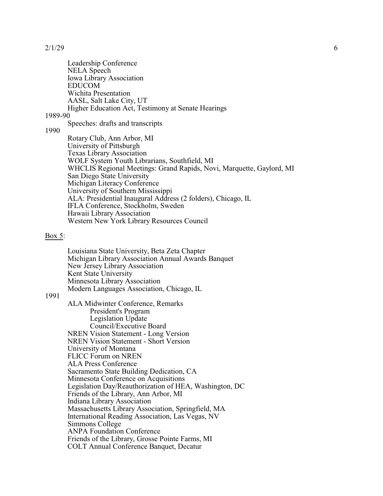Leadership Conference NELA Speech Iowa Library Association EDUCOM Wichita Presentation AASL, Salt Lake City, UT Higher Education Act, Testimony at Senate Hearings

1989-90

#### Speeches: drafts and transcripts

1990

Rotary Club, Ann Arbor, MI University of Pittsburgh Texas Library Association WOLF System Youth Librarians, Southfield, MI WHCLIS Regional Meetings: Grand Rapids, Novi, Marquette, Gaylord, MI San Diego State University Michigan Literacy Conference University of Southern Mississippi ALA: Presidential Inaugural Address (2 folders), Chicago, IL IFLA Conference, Stockholm, Sweden Hawaii Library Association Western New York Library Resources Council

#### Box 5:

Louisiana State University, Beta Zeta Chapter Michigan Library Association Annual Awards Banquet New Jersey Library Association Kent State University Minnesota Library Association Modern Languages Association, Chicago, IL

### 1991

ALA Midwinter Conference, Remarks President's Program Legislation Update Council/Executive Board NREN Vision Statement - Long Version NREN Vision Statement - Short Version University of Montana FLICC Forum on NREN ALA Press Conference Sacramento State Building Dedication, CA Minnesota Conference on Acquisitions Legislation Day/Reauthorization of HEA, Washington, DC Friends of the Library, Ann Arbor, MI Indiana Library Association Massachusetts Library Association, Springfield, MA International Reading Association, Las Vegas, NV Simmons College ANPA Foundation Conference Friends of the Library, Grosse Pointe Farms, MI COLT Annual Conference Banquet, Decatur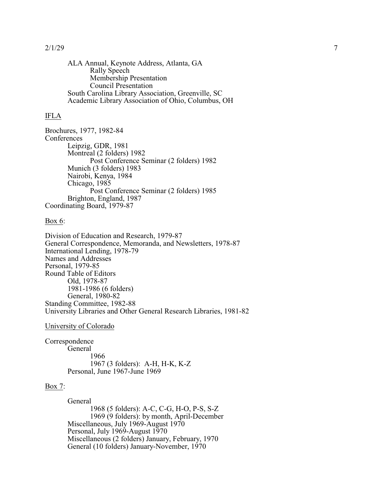ALA Annual, Keynote Address, Atlanta, GA Rally Speech Membership Presentation Council Presentation South Carolina Library Association, Greenville, SC Academic Library Association of Ohio, Columbus, OH

## IFLA

Brochures, 1977, 1982-84 **Conferences** Leipzig, GDR, 1981 Montreal (2 folders) 1982 Post Conference Seminar (2 folders) 1982 Munich (3 folders) 1983 Nairobi, Kenya, 1984 Chicago, 1985 Post Conference Seminar (2 folders) 1985 Brighton, England, 1987 Coordinating Board, 1979-87

#### Box 6:

Division of Education and Research, 1979-87 General Correspondence, Memoranda, and Newsletters, 1978-87 International Lending, 1978-79 Names and Addresses Personal, 1979-85 Round Table of Editors Old, 1978-87 1981-1986 (6 folders) General, 1980-82 Standing Committee, 1982-88 University Libraries and Other General Research Libraries, 1981-82

#### University of Colorado

Correspondence **General** 1966 1967 (3 folders): A-H, H-K, K-Z Personal, June 1967-June 1969

### Box 7:

General 1968 (5 folders): A-C, C-G, H-O, P-S, S-Z 1969 (9 folders): by month, April-December Miscellaneous, July 1969-August 1970 Personal, July 1969-August 1970 Miscellaneous (2 folders) January, February, 1970 General (10 folders) January-November, 1970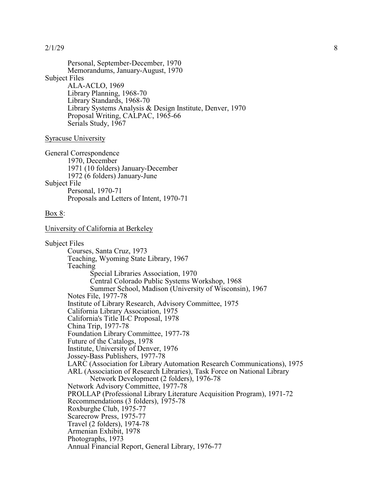Personal, September-December, 1970 Memorandums, January-August, 1970 Subject Files ALA-ACLO, 1969 Library Planning, 1968-70 Library Standards, 1968-70 Library Systems Analysis & Design Institute, Denver, 1970 Proposal Writing, CALPAC, 1965-66 Serials Study, 1967

#### Syracuse University

General Correspondence 1970, December 1971 (10 folders) January-December 1972 (6 folders) January-June Subject File Personal, 1970-71 Proposals and Letters of Intent, 1970-71

#### Box 8:

University of California at Berkeley

Subject Files Courses, Santa Cruz, 1973 Teaching, Wyoming State Library, 1967 Teaching Special Libraries Association, 1970 Central Colorado Public Systems Workshop, 1968 Summer School, Madison (University of Wisconsin), 1967 Notes File, 1977-78 Institute of Library Research, Advisory Committee, 1975 California Library Association, 1975 California's Title II-C Proposal, 1978 China Trip, 1977-78 Foundation Library Committee, 1977-78 Future of the Catalogs, 1978 Institute, University of Denver, 1976 Jossey-Bass Publishers, 1977-78 LARC (Association for Library Automation Research Communications), 1975 ARL (Association of Research Libraries), Task Force on National Library Network Development (2 folders), 1976-78 Network Advisory Committee, 1977-78 PROLLAP (Professional Library Literature Acquisition Program), 1971-72 Recommendations (3 folders), 1975-78 Roxburghe Club, 1975-77 Scarecrow Press, 1975-77 Travel (2 folders), 1974-78 Armenian Exhibit, 1978 Photographs, 1973 Annual Financial Report, General Library, 1976-77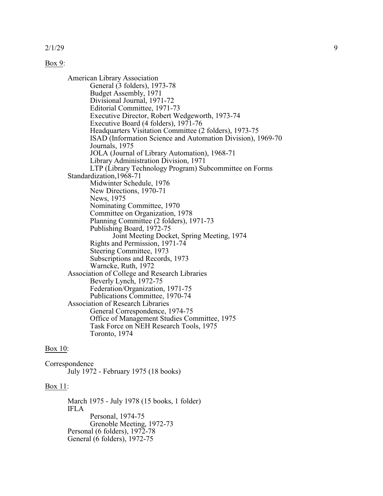#### Box 9:

American Library Association General (3 folders), 1973-78 Budget Assembly, 1971 Divisional Journal, 1971-72 Editorial Committee, 1971-73 Executive Director, Robert Wedgeworth, 1973-74 Executive Board (4 folders), 1971-76 Headquarters Visitation Committee (2 folders), 1973-75 ISAD (Information Science and Automation Division), 1969-70 Journals, 1975 JOLA (Journal of Library Automation), 1968-71 Library Administration Division, 1971 LTP (Library Technology Program) Subcommittee on Forms Standardization,1968-71 Midwinter Schedule, 1976 New Directions, 1970-71 News, 1975 Nominating Committee, 1970 Committee on Organization, 1978 Planning Committee (2 folders), 1971-73 Publishing Board, 1972-75 Joint Meeting Docket, Spring Meeting, 1974 Rights and Permission, 1971-74 Steering Committee, 1973 Subscriptions and Records, 1973 Warncke, Ruth, 1972 Association of College and Research Libraries Beverly Lynch, 1972-75 Federation/Organization, 1971-75 Publications Committee, 1970-74 Association of Research Libraries General Correspondence, 1974-75 Office of Management Studies Committee, 1975 Task Force on NEH Research Tools, 1975 Toronto, 1974

#### Box 10:

Correspondence July 1972 - February 1975 (18 books)

#### Box 11:

March 1975 - July 1978 (15 books, 1 folder) IFLA Personal, 1974-75 Grenoble Meeting, 1972-73 Personal (6 folders), 1972-78 General (6 folders), 1972-75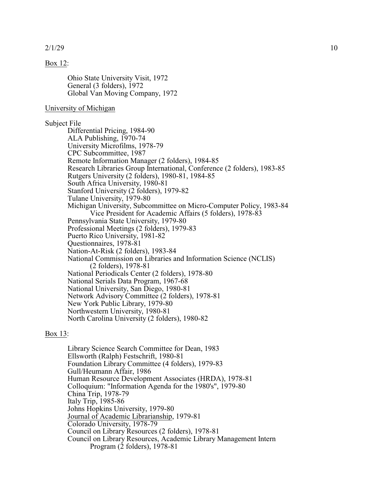#### Box 12:

Ohio State University Visit, 1972 General (3 folders), 1972 Global Van Moving Company, 1972

#### University of Michigan

### Subject File

Differential Pricing, 1984-90 ALA Publishing, 1970-74 University Microfilms, 1978-79 CPC Subcommittee, 1987 Remote Information Manager (2 folders), 1984-85 Research Libraries Group International, Conference (2 folders), 1983-85 Rutgers University (2 folders), 1980-81, 1984-85 South Africa University, 1980-81 Stanford University (2 folders), 1979-82 Tulane University, 1979-80 Michigan University, Subcommittee on Micro-Computer Policy, 1983-84 Vice President for Academic Affairs (5 folders), 1978-83 Pennsylvania State University, 1979-80 Professional Meetings (2 folders), 1979-83 Puerto Rico University, 1981-82 Questionnaires, 1978-81 Nation-At-Risk (2 folders), 1983-84 National Commission on Libraries and Information Science (NCLIS) (2 folders), 1978-81 National Periodicals Center (2 folders), 1978-80 National Serials Data Program, 1967-68 National University, San Diego, 1980-81 Network Advisory Committee (2 folders), 1978-81 New York Public Library, 1979-80 Northwestern University, 1980-81 North Carolina University (2 folders), 1980-82

#### Box 13:

Library Science Search Committee for Dean, 1983 Ellsworth (Ralph) Festschrift, 1980-81 Foundation Library Committee (4 folders), 1979-83 Gull/Heumann Affair, 1986 Human Resource Development Associates (HRDA), 1978-81 Colloquium: "Information Agenda for the 1980's", 1979-80 China Trip, 1978-79 Italy Trip, 1985-86 Johns Hopkins University, 1979-80 Journal of Academic Librarianship, 1979-81 Colorado University, 1978-79 Council on Library Resources (2 folders), 1978-81 Council on Library Resources, Academic Library Management Intern Program (2 folders), 1978-81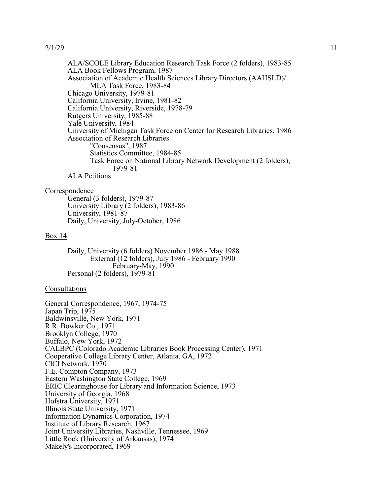ALA/SCOLE Library Education Research Task Force (2 folders), 1983-85 ALA Book Fellows Program, 1987 Association of Academic Health Sciences Library Directors (AAHSLD)/ MLA Task Force, 1983-84 Chicago University, 1979-81 California University, Irvine, 1981-82 California University, Riverside, 1978-79 Rutgers University, 1985-88 Yale University, 1984 University of Michigan Task Force on Center for Research Libraries, 1986 Association of Research Libraries "Consensus", 1987 Statistics Committee, 1984-85 Task Force on National Library Network Development (2 folders), 1979-81 ALA Petitions

#### Correspondence

General (3 folders), 1979-87 University Library (2 folders), 1983-86 University, 1981-87 Daily, University, July-October, 1986

#### Box 14:

Daily, University (6 folders) November 1986 - May 1988 External (12 folders), July 1986 - February 1990 February-May, 1990 Personal (2 folders), 1979-81

## Consultations

General Correspondence, 1967, 1974-75 Japan Trip, 1975 Baldwinsville, New York, 1971 R.R. Bowker Co., 1971 Brooklyn College, 1970 Buffalo, New York, 1972 CALBPC (Colorado Academic Libraries Book Processing Center), 1971 Cooperative College Library Center, Atlanta, GA, 1972 CICI Network, 1970 F.E. Compton Company, 1973 Eastern Washington State College, 1969 ERIC Clearinghouse for Library and Information Science, 1973 University of Georgia, 1968 Hofstra University, 1971 Illinois State University, 1971 Information Dynamics Corporation, 1974 Institute of Library Research, 1967 Joint University Libraries, Nashville, Tennessee, 1969 Little Rock (University of Arkansas), 1974 Makely's Incorporated, 1969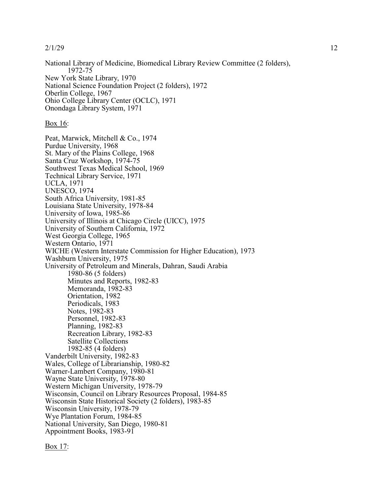National Library of Medicine, Biomedical Library Review Committee (2 folders), 1972-75 New York State Library, 1970 National Science Foundation Project (2 folders), 1972 Oberlin College, 1967 Ohio College Library Center (OCLC), 1971 Onondaga Library System, 1971

### Box 16:

Peat, Marwick, Mitchell & Co., 1974 Purdue University, 1968 St. Mary of the Plains College, 1968 Santa Cruz Workshop, 1974-75 Southwest Texas Medical School, 1969 Technical Library Service, 1971 UCLA, 1971 UNESCO, 1974 South Africa University, 1981-85 Louisiana State University, 1978-84 University of Iowa, 1985-86 University of Illinois at Chicago Circle (UICC), 1975 University of Southern California, 1972 West Georgia College, 1965 Western Ontario, 1971 WICHE (Western Interstate Commission for Higher Education), 1973 Washburn University, 1975 University of Petroleum and Minerals, Dahran, Saudi Arabia 1980-86 (5 folders) Minutes and Reports, 1982-83 Memoranda, 1982-83 Orientation, 1982 Periodicals, 1983 Notes, 1982-83 Personnel, 1982-83 Planning, 1982-83 Recreation Library, 1982-83 Satellite Collections 1982-85 (4 folders) Vanderbilt University, 1982-83 Wales, College of Librarianship, 1980-82 Warner-Lambert Company, 1980-81 Wayne State University, 1978-80 Western Michigan University, 1978-79 Wisconsin, Council on Library Resources Proposal, 1984-85 Wisconsin State Historical Society (2 folders), 1983-85 Wisconsin University, 1978-79 Wye Plantation Forum, 1984-85 National University, San Diego, 1980-81 Appointment Books, 1983-91

Box 17: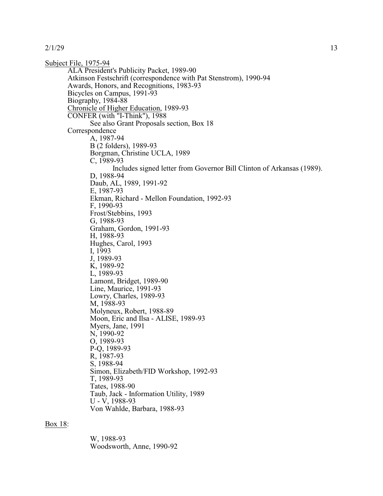Subject File, 1975-94 ALA President's Publicity Packet, 1989-90 Atkinson Festschrift (correspondence with Pat Stenstrom), 1990-94 Awards, Honors, and Recognitions, 1983-93 Bicycles on Campus, 1991-93 Biography, 1984-88 Chronicle of Higher Education, 1989-93 CONFER (with "I-Think"), 1988 See also Grant Proposals section, Box 18 Correspondence A, 1987-94 B (2 folders), 1989-93 Borgman, Christine UCLA, 1989 C, 1989-93 Includes signed letter from Governor Bill Clinton of Arkansas (1989). D, 1988-94 Daub, AL, 1989, 1991-92 E, 1987-93 Ekman, Richard - Mellon Foundation, 1992-93 F, 1990-93 Frost/Stebbins, 1993 G, 1988-93 Graham, Gordon, 1991-93 H, 1988-93 Hughes, Carol, 1993 I, 1993 J, 1989-93 K, 1989-92 L, 1989-93 Lamont, Bridget, 1989-90 Line, Maurice, 1991-93 Lowry, Charles, 1989-93 M, 1988-93 Molyneux, Robert, 1988-89 Moon, Eric and Ilsa - ALISE, 1989-93 Myers, Jane, 1991 N, 1990-92 O, 1989-93 P-Q, 1989-93 R, 1987-93 S, 1988-94 Simon, Elizabeth/FID Workshop, 1992-93 T, 1989-93 Tates, 1988-90 Taub, Jack - Information Utility, 1989 U - V, 1988-93 Von Wahlde, Barbara, 1988-93

#### Box 18:

W, 1988-93 Woodsworth, Anne, 1990-92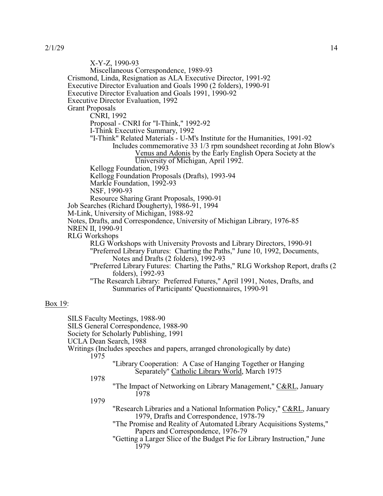X-Y-Z, 1990-93 Miscellaneous Correspondence, 1989-93 Crismond, Linda, Resignation as ALA Executive Director, 1991-92 Executive Director Evaluation and Goals 1990 (2 folders), 1990-91 Executive Director Evaluation and Goals 1991, 1990-92 Executive Director Evaluation, 1992 Grant Proposals CNRI, 1992 Proposal - CNRI for "I-Think," 1992-92 I-Think Executive Summary, 1992 "I-Think" Related Materials - U-M's Institute for the Humanities, 1991-92 Includes commemorative 33 1/3 rpm soundsheet recording at John Blow's Venus and Adonis by the Early English Opera Society at the University of Michigan, April 1992. Kellogg Foundation, 1993 Kellogg Foundation Proposals (Drafts), 1993-94 Markle Foundation, 1992-93 NSF, 1990-93 Resource Sharing Grant Proposals, 1990-91 Job Searches (Richard Dougherty), 1986-91, 1994 M-Link, University of Michigan, 1988-92 Notes, Drafts, and Correspondence, University of Michigan Library, 1976-85 NREN II, 1990-91 RLG Workshops RLG Workshops with University Provosts and Library Directors, 1990-91 "Preferred Library Futures: Charting the Paths," June 10, 1992, Documents, Notes and Drafts (2 folders), 1992-93 "Preferred Library Futures: Charting the Paths," RLG Workshop Report, drafts (2 folders), 1992-93 "The Research Library: Preferred Futures," April 1991, Notes, Drafts, and Summaries of Participants' Questionnaires, 1990-91 Box 19: SILS Faculty Meetings, 1988-90 SILS General Correspondence, 1988-90 Society for Scholarly Publishing, 1991 UCLA Dean Search, 1988 Writings (Includes speeches and papers, arranged chronologically by date) 1975 "Library Cooperation: A Case of Hanging Together or Hanging Separately" Catholic Library World, March 1975 1978 "The Impact of Networking on Library Management," C&RL, January 1978 1979 "Research Libraries and a National Information Policy," C&RL, January 1979, Drafts and Correspondence, 1978-79

"The Promise and Reality of Automated Library Acquisitions Systems," Papers and Correspondence, 1976-79

"Getting a Larger Slice of the Budget Pie for Library Instruction," June 1979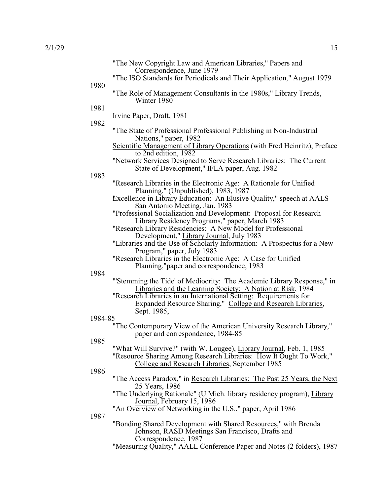|         | "The New Copyright Law and American Libraries," Papers and<br>Correspondence, June 1979                                                     |
|---------|---------------------------------------------------------------------------------------------------------------------------------------------|
| 1980    | "The ISO Standards for Periodicals and Their Application," August 1979                                                                      |
|         | "The Role of Management Consultants in the 1980s," Library Trends,<br>Winter $1980$                                                         |
| 1981    | Irvine Paper, Draft, 1981                                                                                                                   |
| 1982    | "The State of Professional Professional Publishing in Non-Industrial                                                                        |
|         | Nations," paper, 1982<br>Scientific Management of Library Operations (with Fred Heinritz), Preface                                          |
|         | to 2nd edition, 1982<br>"Network Services Designed to Serve Research Libraries: The Current                                                 |
| 1983    | State of Development," IFLA paper, Aug. 1982                                                                                                |
|         | "Research Libraries in the Electronic Age: A Rationale for Unified<br>Planning," (Unpublished), 1983, 1987                                  |
|         | Excellence in Library Education: An Elusive Quality," speech at AALS<br>San Antonio Meeting, Jan. 1983                                      |
|         | "Professional Socialization and Development: Proposal for Research<br>Library Residency Programs," paper, March 1983                        |
|         | "Research Library Residencies: A New Model for Professional<br>Development," Library Journal, July 1983                                     |
|         | "Libraries and the Use of Scholarly Information: A Prospectus for a New<br>Program," paper, July 1983                                       |
|         | "Research Libraries in the Electronic Age: A Case for Unified<br>Planning,"paper and correspondence, 1983                                   |
| 1984    | "Stemming the Tide' of Mediocrity: The Academic Library Response," in                                                                       |
|         | Libraries and the Learning Society: A Nation at Risk, 1984                                                                                  |
|         | "Research Libraries in an International Setting: Requirements for                                                                           |
|         | Expanded Resource Sharing," College and Research Libraries,<br>Sept. 1985,                                                                  |
| 1984-85 |                                                                                                                                             |
|         | "The Contemporary View of the American University Research Library,"                                                                        |
| 1985    | paper and correspondence, 1984-85                                                                                                           |
|         | "What Will Survive?" (with W. Lougee), Library Journal, Feb. 1, 1985                                                                        |
|         | "Resource Sharing Among Research Libraries: How It Ought To Work,"                                                                          |
| 1986    | College and Research Libraries, September 1985                                                                                              |
|         | "The Access Paradox," in Research Libraries: The Past 25 Years, the Next<br>25 Years, 1986                                                  |
|         | "The Underlying Rationale" (U Mich. library residency program), Library<br>Journal, February 15, 1986                                       |
| 1987    | "An Overview of Networking in the U.S.," paper, April 1986                                                                                  |
|         | "Bonding Shared Development with Shared Resources," with Brenda<br>Johnson, RASD Meetings San Francisco, Drafts and<br>Correspondence, 1987 |
|         | "Measuring Quality," AALL Conference Paper and Notes (2 folders), 1987                                                                      |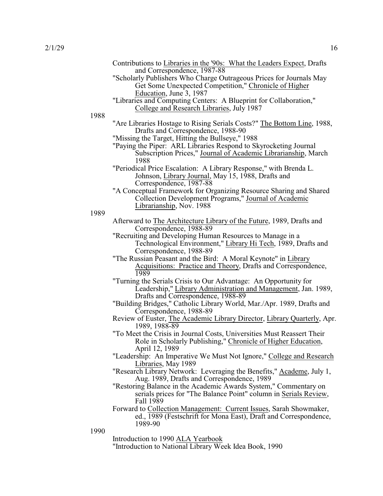|      | Contributions to Libraries in the '90s: What the Leaders Expect, Drafts<br>and Correspondence, 1987-88                                                                                         |
|------|------------------------------------------------------------------------------------------------------------------------------------------------------------------------------------------------|
|      | "Scholarly Publishers Who Charge Outrageous Prices for Journals May<br>Get Some Unexpected Competition," Chronicle of Higher                                                                   |
|      | Education, June 3, 1987<br>"Libraries and Computing Centers: A Blueprint for Collaboration,"                                                                                                   |
| 1988 | College and Research Libraries, July 1987                                                                                                                                                      |
|      | "Are Libraries Hostage to Rising Serials Costs?" The Bottom Line, 1988,<br>Drafts and Correspondence, 1988-90                                                                                  |
|      | "Missing the Target, Hitting the Bullseye," 1988<br>"Paying the Piper: ARL Libraries Respond to Skyrocketing Journal<br>Subscription Prices," Journal of Academic Librarianship, March<br>1988 |
|      | "Periodical Price Escalation: A Library Response," with Brenda L.<br>Johnson, Library Journal, May 15, 1988, Drafts and<br>Correspondence, 1987-88                                             |
|      | "A Conceptual Framework for Organizing Resource Sharing and Shared<br>Collection Development Programs," Journal of Academic<br>Librarianship, Nov. 1988                                        |
| 1989 |                                                                                                                                                                                                |
|      | Afterward to The Architecture Library of the Future, 1989, Drafts and<br>Correspondence, 1988-89                                                                                               |
|      | "Recruiting and Developing Human Resources to Manage in a<br>Technological Environment," Library Hi Tech, 1989, Drafts and<br>Correspondence, 1988-89                                          |
|      | "The Russian Peasant and the Bird: A Moral Keynote" in Library<br>Acquisitions: Practice and Theory, Drafts and Correspondence,<br>1989                                                        |
|      | "Turning the Serials Crisis to Our Advantage: An Opportunity for<br>Leadership," Library Administration and Management, Jan. 1989,                                                             |
|      | Drafts and Correspondence, 1988-89<br>"Building Bridges," Catholic Library World, Mar./Apr. 1989, Drafts and<br>Correspondence, 1988-89                                                        |
|      | Review of Euster, The Academic Library Director, Library Quarterly, Apr.<br>1989, 1988-89                                                                                                      |
|      | "To Meet the Crisis in Journal Costs, Universities Must Reassert Their<br>Role in Scholarly Publishing," Chronicle of Higher Education,<br>April 12, 1989                                      |
|      | "Leadership: An Imperative We Must Not Ignore," College and Research<br>Libraries, May 1989                                                                                                    |
|      | "Research Library Network: Leveraging the Benefits," Academe, July 1,<br>Aug. 1989, Drafts and Correspondence, 1989                                                                            |
|      | "Restoring Balance in the Academic Awards System," Commentary on<br>serials prices for "The Balance Point" column in Serials Review,<br>Fall 1989                                              |
|      | Forward to Collection Management: Current Issues, Sarah Showmaker,<br>ed., 1989 (Festschrift for Mona East), Draft and Correspondence,<br>1989-90                                              |
| 1990 |                                                                                                                                                                                                |
|      | Introduction to 1990 ALA Yearbook<br>"Introduction to National Library Week Idea Book, 1990                                                                                                    |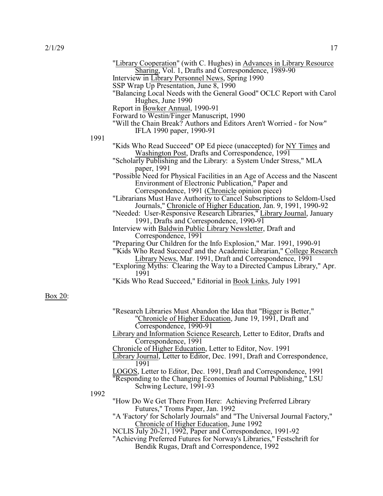Box 20:

|      | "Library Cooperation" (with C. Hughes) in Advances in Library Resource<br>Sharing, Vol. 1, Drafts and Correspondence, 1989-90<br>Interview in Library Personnel News, Spring 1990<br>SSP Wrap Up Presentation, June 8, 1990<br>"Balancing Local Needs with the General Good" OCLC Report with Carol<br>Hughes, June 1990<br>Report in Bowker Annual, 1990-91<br>Forward to Westin/Finger Manuscript, 1990<br>"Will the Chain Break? Authors and Editors Aren't Worried - for Now"<br>IFLA 1990 paper, 1990-91                                                                                                                                                                                                                                                                                                                                                                                                                                                                                                                                          |
|------|--------------------------------------------------------------------------------------------------------------------------------------------------------------------------------------------------------------------------------------------------------------------------------------------------------------------------------------------------------------------------------------------------------------------------------------------------------------------------------------------------------------------------------------------------------------------------------------------------------------------------------------------------------------------------------------------------------------------------------------------------------------------------------------------------------------------------------------------------------------------------------------------------------------------------------------------------------------------------------------------------------------------------------------------------------|
| 1991 |                                                                                                                                                                                                                                                                                                                                                                                                                                                                                                                                                                                                                                                                                                                                                                                                                                                                                                                                                                                                                                                        |
|      | "Kids Who Read Succeed" OP Ed piece (unaccepted) for NY Times and<br>Washington Post, Drafts and Correspondence, 1991<br>"Scholarly Publishing and the Library: a System Under Stress," MLA<br>paper, 1991<br>"Possible Need for Physical Facilities in an Age of Access and the Nascent<br>Environment of Electronic Publication," Paper and<br>Correspondence, 1991 (Chronicle opinion piece)<br>"Librarians Must Have Authority to Cancel Subscriptions to Seldom-Used<br>Journals," Chronicle of Higher Education, Jan. 9, 1991, 1990-92<br>"Needed: User-Responsive Research Libraries," Library Journal, January<br>1991, Drafts and Correspondence, 1990-91<br>Interview with Baldwin Public Library Newsletter, Draft and<br>Correspondence, 1991<br>"Preparing Our Children for the Info Explosion," Mar. 1991, 1990-91<br>"Kids Who Read Succeed' and the Academic Librarian," College Research<br>Library News, Mar. 1991, Draft and Correspondence, 1991<br>"Exploring Myths: Clearing the Way to a Directed Campus Library," Apr.<br>1991 |
|      | "Kids Who Read Succeed," Editorial in Book Links, July 1991                                                                                                                                                                                                                                                                                                                                                                                                                                                                                                                                                                                                                                                                                                                                                                                                                                                                                                                                                                                            |
|      | "Research Libraries Must Abandon the Idea that "Bigger is Better,"<br>"Chronicle of Higher Education, June 19, 1991, Draft and<br>Correspondence, 1990-91<br>Library and Information Science Research, Letter to Editor, Drafts and<br>Correspondence, 1991<br>Chronicle of Higher Education, Letter to Editor, Nov. 1991<br>Library Journal, Letter to Editor, Dec. 1991, Draft and Correspondence,<br>1991                                                                                                                                                                                                                                                                                                                                                                                                                                                                                                                                                                                                                                           |
|      | LOGOS, Letter to Editor, Dec. 1991, Draft and Correspondence, 1991<br>"Responding to the Changing Economies of Journal Publishing," LSU                                                                                                                                                                                                                                                                                                                                                                                                                                                                                                                                                                                                                                                                                                                                                                                                                                                                                                                |
| 1992 | Schwing Lecture, 1991-93                                                                                                                                                                                                                                                                                                                                                                                                                                                                                                                                                                                                                                                                                                                                                                                                                                                                                                                                                                                                                               |
|      | "How Do We Get There From Here: Achieving Preferred Library<br>Futures," Troms Paper, Jan. 1992                                                                                                                                                                                                                                                                                                                                                                                                                                                                                                                                                                                                                                                                                                                                                                                                                                                                                                                                                        |
|      | "A 'Factory' for Scholarly Journals" and "The Universal Journal Factory,"<br>Chronicle of Higher Education, June 1992<br>NCLIS July 20-21, 1992, Paper and Correspondence, 1991-92<br>"Achieving Preferred Futures for Norway's Libraries," Festschrift for<br>Bendik Rugas, Draft and Correspondence, 1992                                                                                                                                                                                                                                                                                                                                                                                                                                                                                                                                                                                                                                                                                                                                            |
|      |                                                                                                                                                                                                                                                                                                                                                                                                                                                                                                                                                                                                                                                                                                                                                                                                                                                                                                                                                                                                                                                        |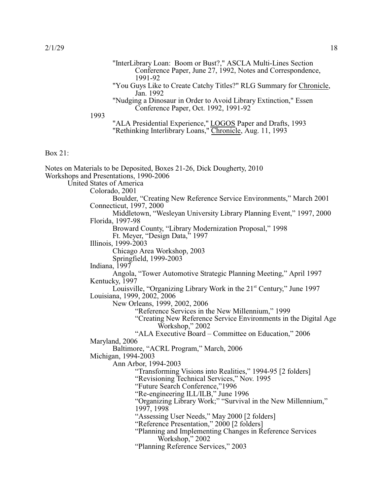Box 21:

|         |      | "InterLibrary Loan: Boom or Bust?," ASCLA Multi-Lines Section<br>Conference Paper, June 27, 1992, Notes and Correspondence,                 |
|---------|------|---------------------------------------------------------------------------------------------------------------------------------------------|
|         | 1993 | 1991-92<br>"You Guys Like to Create Catchy Titles?" RLG Summary for Chronicle,<br>Jan. 1992                                                 |
|         |      | "Nudging a Dinosaur in Order to Avoid Library Extinction," Essen<br>Conference Paper, Oct. 1992, 1991-92                                    |
|         |      | "ALA Presidential Experience," LOGOS Paper and Drafts, 1993<br>"Rethinking Interlibrary Loans," Chronicle, Aug. 11, 1993                    |
| Box 21: |      |                                                                                                                                             |
|         |      | Notes on Materials to be Deposited, Boxes 21-26, Dick Dougherty, 2010<br>Workshops and Presentations, 1990-2006<br>United States of America |
|         |      | Colorado, 2001                                                                                                                              |
|         |      | Boulder, "Creating New Reference Service Environments," March 2001                                                                          |
|         |      | Connecticut, 1997, 2000<br>Middletown, "Wesleyan University Library Planning Event," 1997, 2000<br>Florida, 1997-98                         |
|         |      | Broward County, "Library Modernization Proposal," 1998                                                                                      |
|         |      | Ft. Meyer, "Design Data," 1997                                                                                                              |
|         |      | Illinois, 1999-2003                                                                                                                         |
|         |      | Chicago Area Workshop, 2003<br>Springfield, 1999-2003                                                                                       |
|         |      | Indiana, 1997                                                                                                                               |
|         |      | Angola, "Tower Automotive Strategic Planning Meeting," April 1997                                                                           |
|         |      | Kentucky, 1997                                                                                                                              |
|         |      | Louisville, "Organizing Library Work in the 21 <sup>st</sup> Century," June 1997<br>Louisiana, 1999, 2002, 2006                             |
|         |      | New Orleans, 1999, 2002, 2006<br>"Reference Services in the New Millennium," 1999                                                           |
|         |      | "Creating New Reference Service Environments in the Digital Age<br>Workshop," 2002                                                          |
|         |      | "ALA Executive Board – Committee on Education," 2006                                                                                        |
|         |      | Maryland, 2006                                                                                                                              |
|         |      | Baltimore, "ACRL Program," March, 2006                                                                                                      |
|         |      | Michigan, 1994-2003<br>Ann Arbor, 1994-2003                                                                                                 |
|         |      | "Transforming Visions into Realities," 1994-95 [2 folders]                                                                                  |
|         |      | "Revisioning Technical Services," Nov. 1995                                                                                                 |
|         |      | "Future Search Conference,"1996                                                                                                             |
|         |      | "Re-engineering ILL/ILB," June 1996                                                                                                         |
|         |      | "Organizing Library Work;" "Survival in the New Millennium,"<br>1997, 1998                                                                  |
|         |      | "Assessing User Needs," May 2000 [2 folders]                                                                                                |
|         |      | "Reference Presentation," 2000 [2 folders]                                                                                                  |
|         |      | "Planning and Implementing Changes in Reference Services                                                                                    |

- Workshop," 2002
- "Planning Reference Services," 2003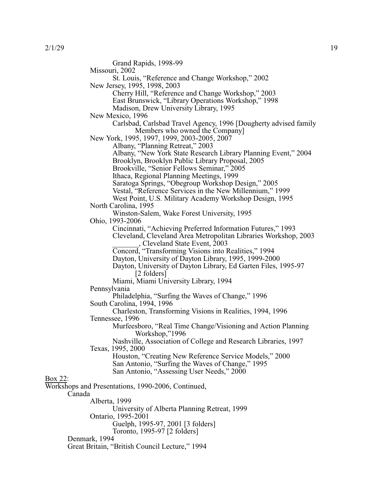Box 22:

Grand Rapids, 1998-99 Missouri, 2002 St. Louis, "Reference and Change Workshop," 2002 New Jersey, 1995, 1998, 2003 Cherry Hill, "Reference and Change Workshop," 2003 East Brunswick, "Library Operations Workshop," 1998 Madison, Drew University Library, 1995 New Mexico, 1996 Carlsbad, Carlsbad Travel Agency, 1996 [Dougherty advised family Members who owned the Company] New York, 1995, 1997, 1999, 2003-2005, 2007 Albany, "Planning Retreat," 2003 Albany, "New York State Research Library Planning Event," 2004 Brooklyn, Brooklyn Public Library Proposal, 2005 Brookville, "Senior Fellows Seminar," 2005 Ithaca, Regional Planning Meetings, 1999 Saratoga Springs, "Obegroup Workshop Design," 2005 Vestal, "Reference Services in the New Millennium," 1999 West Point, U.S. Military Academy Workshop Design, 1995 North Carolina, 1995 Winston-Salem, Wake Forest University, 1995 Ohio, 1993-2006 Cincinnati, "Achieving Preferred Information Futures," 1993 Cleveland, Cleveland Area Metropolitan Libraries Workshop, 2003 \_\_\_\_\_\_\_, Cleveland State Event, 2003 Concord, "Transforming Visions into Realities," 1994 Dayton, University of Dayton Library, 1995, 1999-2000 Dayton, University of Dayton Library, Ed Garten Files, 1995-97 [2 folders] Miami, Miami University Library, 1994 Pennsylvania Philadelphia, "Surfing the Waves of Change," 1996 South Carolina, 1994, 1996 Charleston, Transforming Visions in Realities, 1994, 1996 Tennessee, 1996 Murfeesboro, "Real Time Change/Visioning and Action Planning Workshop,"1996 Nashville, Association of College and Research Libraries, 1997 Texas, 1995, 2000 Houston, "Creating New Reference Service Models," 2000 San Antonio, "Surfing the Waves of Change," 1995 San Antonio, "Assessing User Needs," 2000 Workshops and Presentations, 1990-2006, Continued, Canada Alberta, 1999 University of Alberta Planning Retreat, 1999 Ontario, 1995-2001 Guelph, 1995-97, 2001 [3 folders] Toronto, 1995-97 [2 folders] Denmark, 1994 Great Britain, "British Council Lecture," 1994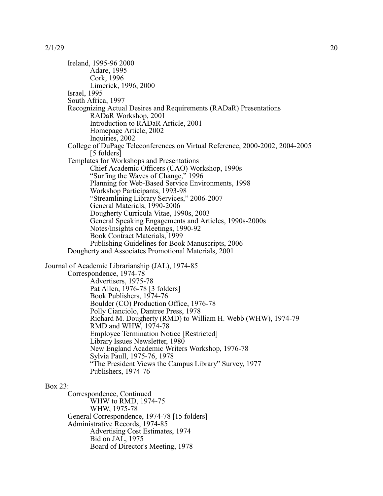Ireland, 1995-96 2000 Adare, 1995 Cork, 1996 Limerick, 1996, 2000 Israel, 1995 South Africa, 1997 Recognizing Actual Desires and Requirements (RADaR) Presentations RADaR Workshop, 2001 Introduction to RADaR Article, 2001 Homepage Article, 2002 Inquiries, 2002 College of DuPage Teleconferences on Virtual Reference, 2000-2002, 2004-2005 [5 folders] Templates for Workshops and Presentations Chief Academic Officers (CAO) Workshop, 1990s "Surfing the Waves of Change," 1996 Planning for Web-Based Service Environments, 1998 Workshop Participants, 1993-98 "Streamlining Library Services," 2006-2007 General Materials, 1990-2006 Dougherty Curricula Vitae, 1990s, 2003 General Speaking Engagements and Articles, 1990s-2000s Notes/Insights on Meetings, 1990-92 Book Contract Materials, 1999 Publishing Guidelines for Book Manuscripts, 2006 Dougherty and Associates Promotional Materials, 2001 Journal of Academic Librarianship (JAL), 1974-85 Correspondence, 1974-78 Advertisers, 1975-78 Pat Allen, 1976-78 [3 folders] Book Publishers, 1974-76 Boulder (CO) Production Office, 1976-78 Polly Cianciolo, Dantree Press, 1978 Richard M. Dougherty (RMD) to William H. Webb (WHW), 1974-79 RMD and WHW, 1974-78 Employee Termination Notice [Restricted] Library Issues Newsletter, 1980 New England Academic Writers Workshop, 1976-78 Sylvia Paull, 1975-76, 1978 "The President Views the Campus Library" Survey, 1977

Box 23:

Correspondence, Continued WHW to RMD, 1974-75 WHW, 1975-78 General Correspondence, 1974-78 [15 folders] Administrative Records, 1974-85 Advertising Cost Estimates, 1974 Bid on JAL, 1975 Board of Director's Meeting, 1978

Publishers, 1974-76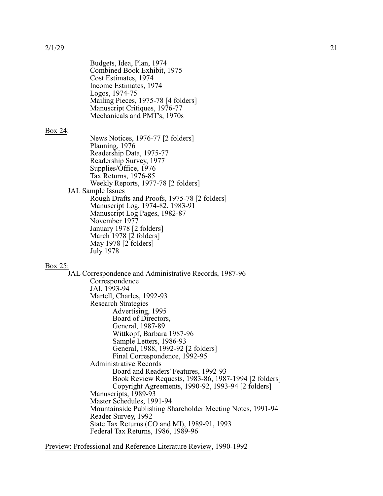Budgets, Idea, Plan, 1974 Combined Book Exhibit, 1975 Cost Estimates, 1974 Income Estimates, 1974 Logos, 1974-75 Mailing Pieces, 1975-78 [4 folders] Manuscript Critiques, 1976-77 Mechanicals and PMT's, 1970s

### Box 24:

News Notices, 1976-77 [2 folders] Planning, 1976 Readership Data, 1975-77 Readership Survey, 1977 Supplies/Office, 1976 Tax Returns, 1976-85 Weekly Reports, 1977-78 [2 folders] JAL Sample Issues Rough Drafts and Proofs, 1975-78 [2 folders] Manuscript Log, 1974-82, 1983-91 Manuscript Log Pages, 1982-87 November 1977 January 1978 [2 folders] March 1978 [2 folders] May 1978 [2 folders] July 1978

#### Box 25:

JAL Correspondence and Administrative Records, 1987-96 Correspondence JAI, 1993-94 Martell, Charles, 1992-93 Research Strategies Advertising, 1995 Board of Directors, General, 1987-89 Wittkopf, Barbara 1987-96 Sample Letters, 1986-93 General, 1988, 1992-92 [2 folders] Final Correspondence, 1992-95 Administrative Records Board and Readers' Features, 1992-93 Book Review Requests, 1983-86, 1987-1994 [2 folders] Copyright Agreements, 1990-92, 1993-94 [2 folders] Manuscripts, 1989-93 Master Schedules, 1991-94 Mountainside Publishing Shareholder Meeting Notes, 1991-94 Reader Survey, 1992 State Tax Returns (CO and MI), 1989-91, 1993 Federal Tax Returns, 1986, 1989-96

Preview: Professional and Reference Literature Review, 1990-1992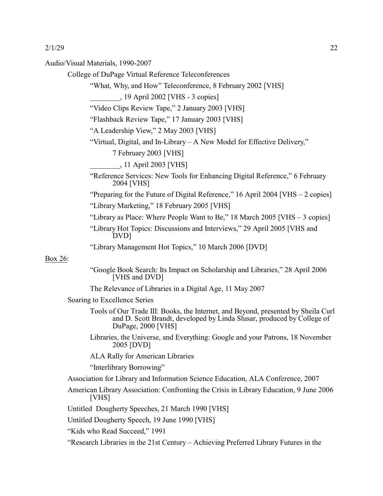Audio/Visual Materials, 1990-2007

College of DuPage Virtual Reference Teleconferences

"What, Why, and How" Teleconference, 8 February 2002 [VHS]

\_\_\_\_\_\_\_\_, 19 April 2002 [VHS - 3 copies]

"Video Clips Review Tape," 2 January 2003 [VHS]

"Flashback Review Tape," 17 January 2003 [VHS]

"A Leadership View," 2 May 2003 [VHS]

"Virtual, Digital, and In-Library – A New Model for Effective Delivery,"

7 February 2003 [VHS]

\_\_\_\_\_\_\_\_, 11 April 2003 [VHS]

"Reference Services: New Tools for Enhancing Digital Reference," 6 February 2004 [VHS]

"Preparing for the Future of Digital Reference," 16 April 2004 [VHS – 2 copies]

"Library Marketing," 18 February 2005 [VHS]

"Library as Place: Where People Want to Be," 18 March 2005 [VHS – 3 copies]

"Library Hot Topics: Discussions and Interviews," 29 April 2005 [VHS and DVD]

"Library Management Hot Topics," 10 March 2006 [DVD]

## Box 26:

"Google Book Search: Its Impact on Scholarship and Libraries," 28 April 2006 [VHS and DVD]

The Relevance of Libraries in a Digital Age, 11 May 2007

Soaring to Excellence Series

- Tools of Our Trade III: Books, the Internet, and Beyond, presented by Sheila Curl and D. Scott Brandt, developed by Linda Slusar, produced by College of DuPage, 2000 [VHS]
- Libraries, the Universe, and Everything: Google and your Patrons, 18 November 2005 [DVD]

ALA Rally for American Libraries

"Interlibrary Borrowing"

Association for Library and Information Science Education, ALA Conference, 2007

American Library Association: Confronting the Crisis in Library Education, 9 June 2006 [VHS]

Untitled Dougherty Speeches, 21 March 1990 [VHS]

Untitled Dougherty Speech, 19 June 1990 [VHS]

"Kids who Read Succeed," 1991

"Research Libraries in the 21st Century – Achieving Preferred Library Futures in the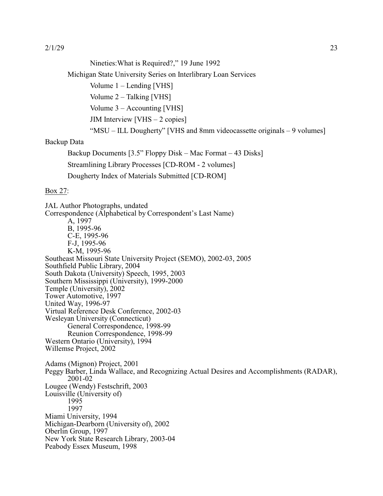Nineties:What is Required?," 19 June 1992

Michigan State University Series on Interlibrary Loan Services

Volume 1 – Lending [VHS]

Volume 2 – Talking [VHS]

Volume 3 – Accounting [VHS]

JIM Interview  $[VHS - 2 copies]$ 

"MSU – ILL Dougherty" [VHS and 8mm videocassette originals – 9 volumes]

# Backup Data

Backup Documents [3.5" Floppy Disk – Mac Format – 43 Disks]

Streamlining Library Processes [CD-ROM - 2 volumes]

Dougherty Index of Materials Submitted [CD-ROM]

## Box 27:

JAL Author Photographs, undated Correspondence (Alphabetical by Correspondent's Last Name) A, 1997 B, 1995-96 C-E, 1995-96 F-J, 1995-96 K-M, 1995-96 Southeast Missouri State University Project (SEMO), 2002-03, 2005 Southfield Public Library, 2004 South Dakota (University) Speech, 1995, 2003 Southern Mississippi (University), 1999-2000 Temple (University), 2002 Tower Automotive, 1997 United Way, 1996-97 Virtual Reference Desk Conference, 2002-03 Wesleyan University (Connecticut) General Correspondence, 1998-99 Reunion Correspondence, 1998-99 Western Ontario (University), 1994 Willemse Project, 2002 Adams (Mignon) Project, 2001 Peggy Barber, Linda Wallace, and Recognizing Actual Desires and Accomplishments (RADAR), 2001-02 Lougee (Wendy) Festschrift, 2003 Louisville (University of) 1995 1997 Miami University, 1994 Michigan-Dearborn (University of), 2002 Oberlin Group, 1997 New York State Research Library, 2003-04 Peabody Essex Museum, 1998